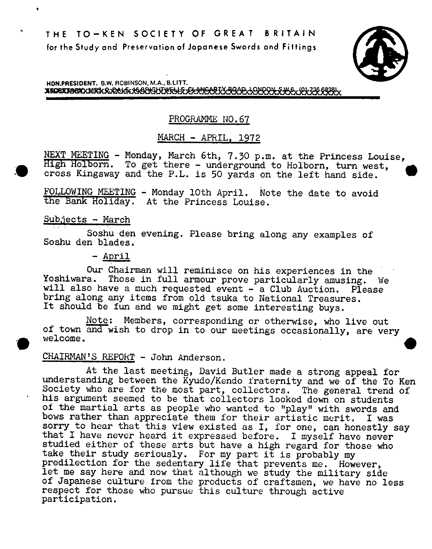

HON.PRESIDENT. B.W. ROBINSON, M.A., B.LITT. **BECRETORICKMRSKRJERNEKJGGRIGHTWELLE JELANEARTXJRGAD, LONROH SWAL (OL736 68381x** 

# PROGRAMME NO.67

# MARCH - APRIL, 1972

NEXT MEETING - Monday, March 6th, 7.30 p.m. at the Princess Louise, High Holborn. To get there - underground to Holborn, turn west, cross Kingsway and the P.L. is 50 yards on the left hand side.

FOLLOWING MEETING - Monday 10th April. Note the date to avoid the Bank Holiday. At the Princess Louise.

## Subjects - March

Soshu den evening. Please bring along any examples of Soshu den blades.

- April

Our Chairman will reminisce on his experiences in the Yoshiwara. Those in full armour prove particularly amusing. We will also have a much requested event - a Club Auction. Please bring along any items from old tsuka to National Treasures. It should be fun and we might get some interesting buys.

Note: Members, corresponding or otherwise, *who* live out of town and wish to drop in to our meetings occasionally, are very welcome.

# CHAIRMAN'S REPORT - John Anderson.

At the last meeting, David Butler made a strong appeal for understanding between the Kyudo/Kendo fraternity and we of the To Ken Society *who* are for the most part, collectors. The general trend of his argument seemed to be that collectors looked down on students of the martial arts as people who wanted to "play" with swords and bows rather than appreciate them for their artistic merit. I was bows rather than appreciate them for their artistic merit. sorry to hear that this view existed as I, for one, can honestly say that I have never heard it expressed before. I myself have never studied either of these arts but have a high regard for those *who*  take their study seriously. For my part it is probably my predilection for the sedentary life that prevents me. However, let me say here and now that although we study the military side of Japanese culture from the products of craftsmen, we have no less respect for those *who* pursue this culture through active participation.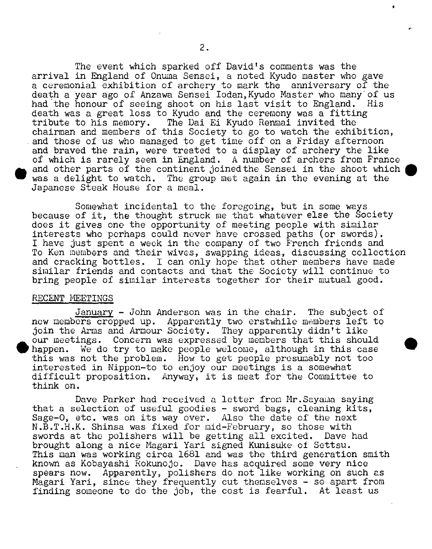The event which sparked off David's comments was the arrival in England of Onuma Sensei, a noted Kyudo master who gave a ceremonial exhibition of archery to mark the anniversary of the death a year ago of Anzawa Sensei Iodan, Kyudo Master who many of us had the honour of seeing shoot on his last visit to England. His death was a great loss to Kyudo and the ceremony was a fitting tribute to his memory. The Dai Ei Kyudo Renmai invited the The Dai Ei Kyudo Renmai invited the chairman and members of this Society to go to watch the exhibition, and those of us who managed to get time off on a Friday afternoon and braved the rain, were treated to a display of archery the like of which is rarely seen in England. A number of archers from France and other parts of the continent joined the Sensei in the shoot which was a delight to watch. The group met again in the evening at the Japanese Steak House for a meal.

Somewhat incidental to the foregoing, but in some ways because of it, the thought struck me that whatever else the Society does it gives one the opportunity of meeting people with similar interests who perhaps could never have crossed paths (or swords). I have just spent a week in the company of two French friends and To Ken members and their wives, swapping ideas, discussing collection and cracking bottles. I can only hope that other members have made similar friends and contacts and that the Society will continue to bring people of similar interests together for their mutual good.

### RECENT MEETINGS

**.**

January - John Anderson was in the chair. The subject of new members cropped up. Apparently two erstwhile members left to join the Arms and Armour Society. They apparently didn't like our meetings. Concern was expressed by members that this should happen. We do try to make people welcome, although in this case this was not the problem. How to get people presumably not too interested in Nippon-to to enjoy our meetings is a somewhat difficult proposition. Anyway, it is meat for the Committee to think on.

Dave Parker had received a letter from Mr.Sayama saying that a selection of useful goodies - sword bags, cleaning kits, Sage-O, etc. was on its way over. Also the date of the next N.B.T.H.K. Shinsa was fixed for mid-February, so those with swords at the polishers will be getting all excited. Dave had brought along a nice Magari Yari signed Kunisuke of Settsu. This man was working circa 1681 and was the third generation smith known as Kobayashi Rokunojo. Dave has acquired some very nice spears now. Apparently, polishers do not like working on such as Nagari Yari, since they frequently cut themselves - so apart from finding someone to do the job, the cost is fearful. At least us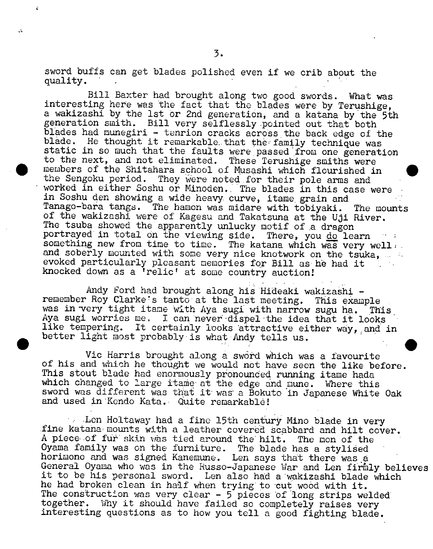sword buffs can get blades polished even if we crib about the quality.

 $\sqrt{2}$ 

Bill Baxter had brought along two good swords. What was interesting here was the fact that the blades were by Terushige, a wakizashi by the 1st or 2nd generation, and a katana by the 5th generation smith. Bill very selflessly pointed out that both blades had munegiri - tenrion cracks across the back edge of the blade. He thought it remarkable that the family technique was static in so much that the faults were passed from one generation to the next, and not eliminated. These Terushige smiths were members of the Shitahara school of Musashi which flourished in the Sengoku period. They were noted for their pole arms and worked in either Soshu or Minoden. The blades in this case were in Soshu den showing a wide heavy curve, itame. grain and Tanago-bara tangs. The hamon was midare with tobiyaki. The mounts of the wakizashi were of Kagesu and Takatsuna at the Uji River. The tsuba showed the apparently unlucky motif of a dragon portrayed in total on the viewing side. There, you do learn something new from time to time. The katana which was very well: and soberly mounted with some very nice knotwork on the tsuka, we all evoked particularly pleasant memories for Bill as he had it knocked down as a 'relic' at some country auction!

Andy Ford had brought along his Hideaki wakizashi remember Roy Clarke's tanto at the last meeting. This example was in very tight itame with Aya sugi with narrow sugu ha. This Aya sugi worries me. I can never dispel the idea that it looks like tempering. It certainly looks attractive either way, and in better light most probably is what Andy tells us.

Vic Harris brought along a sword which was a favourite of his and which he thought we would not have seen the like before. This stout blade had enormously pronounded running itame hada which changed to large itame at the edge and mune. Where this sword was different was that it was a Bokuto in Japanese White Oak and used in Kendo Kata. Quite remarkable!

Len Holtaway had a fine 15th century Mino blade in very fine katana: mounts with a leather covered scabbard and hilt cover. A piece of fur skin was tied around the hilt. The mon of the Oyama family was on the furniture. The blade has a stylised horimono and was signed Kanemune. Len says that there was a General Oyama who was in the Russo-Japanese War and Len firmly believes it to be his personal sword. Len also had a wakizashi blade which he had broken clean in half when trying to cut wood with it. The construction was very clear -  $5$  pieces of long strips welded together. Why it should have failed so completely raises very interesting questions as to how you tell a good fighting blade.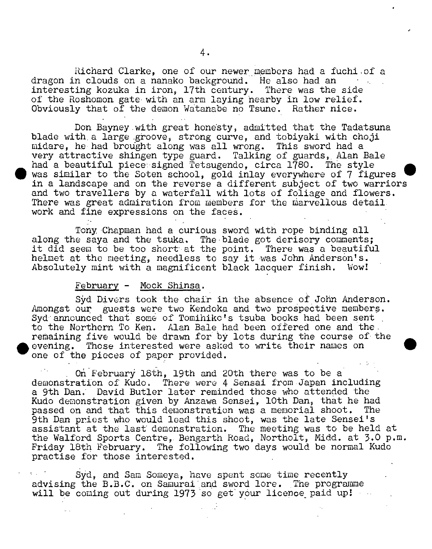Richard Clarke, one of our newer members had a fuchiof a dragon in clouds on a nanako background. He also had an interesting kozuka in iron, 17th century. There was the side of the Roshomon gate with an arm laying nearby in low relief. Obviously that of the demon Watanabe no Tsune. Rather nice.

Don Bayney.with great honesty, admitted that the Tadatsuna blade with a large groove, strong curve, and tobiyaki with choji midare, he had brought along was all wrong. This sword had a very attractive shingen type guard. Talking of guards, Alan Bale had a beautiful piece signed Tetsugendo, circa 1780. The style was similar to the Soten school, gold inlay everywhere of 7 figures in a landscape and on the reverse a different subject of two warriors and two travellers by a waterfall with lots of foliage and flowers. There was great admiration from members for the marvellous detail. work and fine expressions on the faceâ.

Tony 'Chapman had a curious sword with rope binding all along the saya and the tsuka. The blade got derisory comments; it did seem to be too short at the point. There was a beautiful helmet at the meeting, needless to say it was John Anderson's. Absolutely mint with a magnificent black lacquer finish. Wow!

#### February - Mock Shinsa.

Syd Divers took the chair in the absence of John Anderson. Amongst our guests were two Kendoka and two prospective members. Syd announced that some of Tomihikc's tsuba books had been sent to the Northern To Ken. Alan Bale had been offered one and the remaining five would be drawn for by lots during the course of the evening. Those interested were asked to write their names on one of the pieces of paper provided.

On February 18th, 19th and 20th there was to be a' demonstration of Kudo. There were 4 Sensai from Japan including a 9th Dan. David Butler later reminded those who attended the Kudo demonstration given by Anzawa Sensei, 10th Dan, that he had passed on and that this demonstration was a memorial shoot. The passed on and that this demonstration was a memorial shoot. 9th Dan priest who would lead this shoot, was the late Sensei's assistant at the last demonstration. The meeting was to be held at the Walford Sports Centre,. Bengarth Road, Northolt, Midd. at 3.0 p.m. Friday 18th February. The following two days would be normal Kudo practise for those interested.

Syd, and Sam Someya, have spent some time recently advising the B.B.C. on Samurai and sword lore. The programme will be coming out during 1973 so get your licence paid up!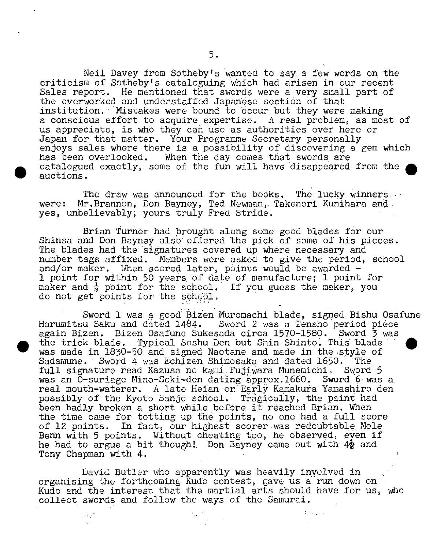Neil Davey from Sotheby's wanted to say, a few words on the criticism of Sotheby' s cataloguing which had arisen in our recent Sales report. He mentioned that swords were a very small part of the Overworked and understaffed Japañèse section of that institution. Mistakes were bound to occur but they were making a conscious effort to acquire expertise. A real problem, as most of us appreciate, is who they can use as authorities over here or Japan for that matter. Your Programme Secretary personally enjoys sales where there is a possibility of discovering a gem which<br>has been overlooked. When the day comes that swords are When the day comes that swords are catalogued exactly, some of the fun will have disappeared from the auctions.

The draw was announced for the books. The lucky winners were: Mr.Brannon, Don Bayney, Ted Newman, Takenori Kunihara and yes, unbelievably; yours truly Fred Stride.

**S**

 $\mathcal{F}(\mathcal{F})$ 

Brian Turner had brought along some good blades for our Shinsa and Don Bayney also offered the pick of some of his pieces. The blades had the signatures covered up where necessary and number tags affixed. Members were asked to give the period, school and/or maker. When scored later, points would be awarded ind, of maner. When Scored Hacer, points would be awarded 1 point for maker and  $\frac{1}{2}$  point for the school. If you guess the maker, you do not get points for the school.

Sword 1 was a good Bizen Muromachi blade, signed Bishu Osafune Harumitsu Saku and dated 1484. Sword 2 was a Tensho period pièce again Bizen. Bizen Osafune Sukesada circa 1570-1580. Sword 3 was<br>the trick blade. Typical Soshu Den but Shin Shinto. This blade was made in 1830-50 and signed Naotane and made in the style of Sadamune. Sword 4 was Echizen Shimosaka and dated 1650. The<br>full signature read Kazusa no kami Fujiwara Munemichi. Sword 5 full signature read Kazusa no kami Fujiwara Munemichi. was an O-suriage Mino-Seki-den dating approx.1660. Sword 6 was a. real mouth-waterer. A late Heian or Early Kamakura Yamashiro den possibly of the Kyoto Sanjo school. Tragically, the paint had been badly broken a short while before it reached Brian. When the time came for totting up the points, no one had a full score of 12 points. In fact, our highest scorer was redoubtable. Mole Benn with 5 points. Without cheating too, he observed, even if he had to argue a bit though! Don Bayney came out with  $4\frac{1}{2}$  and Tony Chapman with 4,

David Butler who apparently was heavily involved **in**  organising the forthcoming Kudo contest, gave us a run down on Kudo and the interest that the martial arts should have for us, who collect swords and follow the ways of the Samurai.

 $1 - 1 - 1 = 1$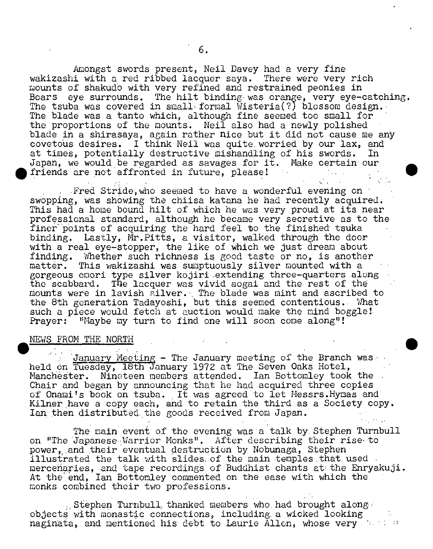Amongst swords present, Neil Davey had a very fine wakizashi with a red ribbed lacquer saya. There were very rich mounts of shakudo with very refined and restrained peonies in Boars eye surrounds. The hilt binding was orange, very eye-catching. The tsuba was covered in small formal Wisteria(?) blossom design. The blade was a tanto which, although fine seemed too small for the proportions of the mounts. Neil also had a newly polished blade in a shirasaya, again rather nice but it did not cause me any covetous desires. I think Neil was quite worried by our lax, and at times, potentially destructive mishandling of his swords. In Japan, we would be regarded as savages for it. Make certain our friends are not affronted in future, please!

Fred Stride, who seemed to have a wonderful evening on swopping, was showing the chiisa katana he had recently acquired. This had a home bound hilt of which he was very proud at its near professional standard, although he became very secretive as to the finer points of acquiring the hard feel to the finished tsuka binding. Lastly, Mr. Pitts, a visitor, walked through the door with a real eye-stopper, the like of which we just dream about finding. Whether such richness is good taste or no, is another matter. This wakizashi was sumptuously silver mounted with a This wakizashi was sumptuously silver mounted with a gorgeous cuori type silver kojiri extending three-quarters along the scabbard. The lacquer was vivid aogai and the rest of the mounts were in lavish silver.. The blade was mint and ascribed to the 8th generation Tadayoshi, but this seemed contentious.. What such a piece would fetch at auction would make the mind boggle!. Prayer: "Maybe my turn to find one will soon come along"!

### NEWS FROM THE NORTH

January Meeting - The January meeting of the Branch was held on Tuesday, 18th January 1972 at The Seven Oaks Hotel, Manchester. Nineteen members attended. Ian Bottomley took the Chair and began by announcing that he had acquired three copies of Onami's book on tsuba. It was agreed to let Messrs. Hymas and Kilner have a copy each, and to retain the third as a Society copy. Ian, then distributed, the goods received from Japan.

The main event of the evening was a talk by. Stephen Turnbull on "The Japanese Warrior Monks". After describing their rise to power, and their eventual destruction by Nobunaga, Stephen illustrated the talk with slides of the main temples that used. mercenaries, and tape recordings of Buddhist chants at the Enryakuji. At the end, Ian Bottomley commented on the ease with which the monks combined their two professions.

Stephen Turnbull, thanked members who had brought along. objects with monastic connections, including, a wicked looking. náginata, and mentioned his debt to Laurie Allen, whose very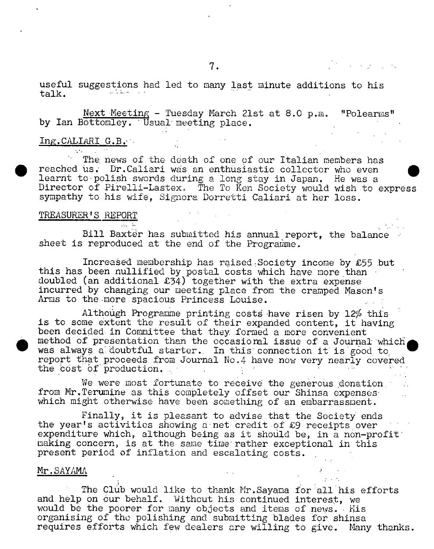useful suggestions had led to many last minute additions to his talk.

Next Meeting - Tuesday March 21st at 8.0 p.m. "Polearms" by Ian Bottomley. Usual meeting place.

#### Ing.CALIARI G.B.. **Alta Contractor**

The, news of the death of one of our Italian members has reached us. Dr.Caliari was an enthusiastic collector who even learnt to polish swords during a long stay in Japan. He was a Director of Pirelli-Lastex. The To Ken Society would wish to express sympathy to his wife, Signora Dorretti Caliari at her loss.

# TREASURER'S REPORT

 $\mathcal{L}_{\text{max}}$  ,  $\mathcal{L}_{\text{max}}$ 

Bill Baxter has submitted his annual report, the balance sheet is reproduced at the end of the Programme.

Increased membership has raised Society income by  $£55$  but this has been nullified by postal costs which have more than doubled (an additional £34) together with the extra expense incurred by changing our meeting place from the cramped Mason's Arms to the more spacious Princess Louise.

Although Programme printing costs have risen by  $12\%$  this is to some extent the result of their expanded content, it having been decided in Committee that they formed a more convenient method of presentation than the occasioml issue of a Journal which was always a doubtful starter. In this connection it is good to report that proceeds from Journal No.4 have now very nearly covered the cost of production.

We were most fortunate to receive the generous donation. from Mr. Terumine as this completely offset our Shinsa expenses which might otherwise have been something of an embarrassment.

Finally, it is pleasant to advise that the Society' ends the year's activities showing a'net credit of £9 receipts over expenditure which, although being as it should be, in a non-profit' making concern, is at the same time rather exceptional in this present period of inflation and escalating costs.

#### Mr.SAYAMA

**I**

The Club would like to thank Mr. Sayama for all his efforts and help on our behalf. Without his continued interest, we would be the poorer for many objects and items of news. His organising of the polishing and submitting blades for shinsa requires efforts which few dealers are willing to give. Many thanks.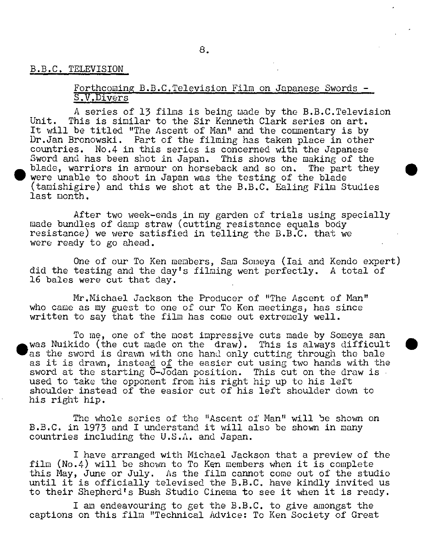### B.B.C. TELEVISION

.

.

## Forthcoming B.B.C. Television Film on Japanese Swords -S.V.Divers

A series of 13 films is being uade by the B.B.C.Television Unit. This is similar to the Sir Kenneth Clark series on art. It will be titled "The Ascent of Man" and the commentary is by Dr.Jan Bronowski. Part of the filming has taken place in other countries. No.4 in this series is concerned with the Japanese Sword and has been shot in Japan. This shows the making of the blade, warriors in armour on horseback and so on. The part they were unable to shoot in Japan was the testing of the blade (tamishigire) and this we shot at the B.B.C. Ealing Film Studies last month.

After two week-ends in my garden of trials using specially made bundles of damp straw (cutting resistance equals body resistance) we were satisfied in telling the B.B.C. that we were ready to go ahead.

One of our To Ken members, Sam Soineya (Iai and Kendo expert) did the testing and the day's filming went perfectly. A total of 16 bales were cut that day.

Mr.Michael Jackson the Producer of "The Ascent of Man" who came as my guest to one of our To Ken meetings, has since written to say that the film has come out extremely well.

To me, one of the most impressive cuts made by Someya san was Nuikido (the cut made on the draw). This is always difficult as the sword is drawn with one hand only cutting through the bale as it is drawn, instea<u>d</u> o<u>f</u> the easier cut using two hands with the sword at the starting  $\overline{0}$ -Jodan position. This cut on the draw is used to take the opponent from his right hip up to his left shoulder instead of the easier cut of his left shoulder down to his right hip.

The whole series of the "Ascent of Nan" will be shown on B.B.C. in 1973 and I understand it will also be shown in many countries including the U.S.A. and Japan.

I have arranged with Michael Jackson that a preview of the film (No.4) will be shown to To Ken members when it is complete this May, June or July. As the film cannot come out of the studio until it is officially televised the B.B.C. have kindly invited us to their Shepherd's Bush Studio Cinema to see it when it is ready.

I am endeavouring to get the B.B.C. to give amongst the captions on this film "Technical Advice: To Ken Society of Great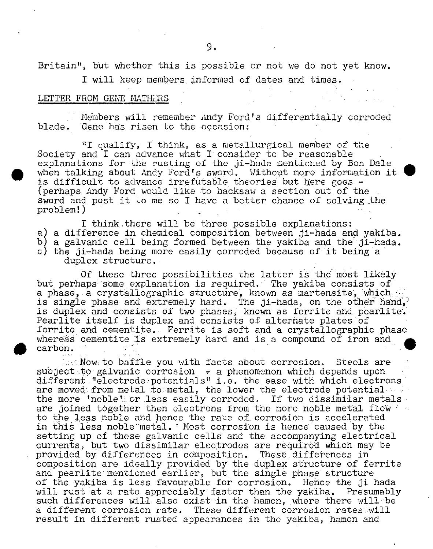Britain", but whether this is possible or not we do not yet know.

I will keep members informed of dates and times.

### LETTER FROM GENE MATHERS

Members will remember Andy Ford's differentially corroded blade. Gene has risen to the occasion:

"I qualify, I think, as a metallurgical member of the Society and I can advance what I consider to be reasonable explanations for the rusting of the ji-hada mentioned by Bon Dale when talking about Andy Ford's sword. Without more information it is difficult to advance irrefutable theories but Iere goes - (perhaps Andy Ford would like to hacksaw a section out of the sword and post it to me so I have a, better chance of solving the problem!)

I think there will be three possible explanations: a) a difference in chemical composition between ji-hada and yakiba. b) a galvanic cell being formed'between the yakiba and the ji-hada. c) the ji-hada being more easily corroded because of it being a duplex structure.

Of these three possibilities the latter is the most likely but perhaps some explanation is required. The yakiba consists of a phase, a crystallographic structure, known as martensite, which is single phase and extremely hard. The ji-hada, on the other hand, is duplex and consists of two phases, known as ferrite and pearlite. Pearlite itself is duplex and consists of alternate plates of ferrite and cementite. Ferrite is soft and a crystallographic phase whereas cementite is extremely hard and is a compound of iron and carbon.

 $\text{Low}$  to baffle you with facts about corrosion. Steels are subject to galvanic corrosion  $-$  a phenomenon which depends upon different "electrode potentials" i.e. the ease with which electrons are moved from metal to metal, the lower the electrode potential the more 'noble' or less easily corroded. If two dissimilar metals are joined together then electrons from the more noble metal fl0W to the less noble and hence the rate of corrosion is accelerated in this less noble metal. Most corrosion is hence caused by the setting up of these galvanic cells and the accompanying electrical currents, but two dissimilar electrodes are required which may be provided by differences in composition. These differences in composition are ideally provided by the duplex structure of ferrite and pearlite mentioned earlier, but the single phase structure of the yakiba is less favourable for corrosion. Hence the ji hada will rust at a rate appreciably iaster than. the yakiba. Presumably such differences will also exist in the hamon, where there will be a different corrosion rate. These different corrosion rates will result in different rusted appearances in the yakiba, hamon and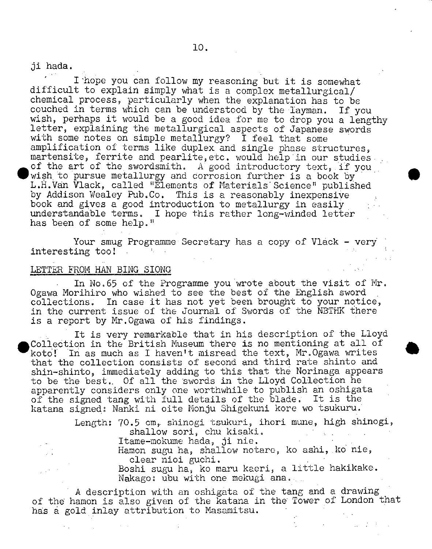ji hada,

I 'hope you can follow my reasoning but it is somewhat difficult to explain simply what is a complex metallurgical/ chemical process, particularly when the explanation has to be couched in terms which can be imderstood by the layman. If you wish, perhaps it would be a good idea for me to drop you a lengthy letter, explaining the metallurgical aspects of Japanese swords with some notes on simple metallurgy? I feel that some amplification of terms like duplex and single phase structures, martensite, ferrite and pearlite, etc. would help in our studies. of the art of the swordsmith. A good introductory text, if you wish to pursue metallurgy and corrosion further is a book by L.H.Vàn flack, called "Elements of Materials Science" published by Addison Wealey Pub.Co. This is a reasonably inexpensiye book and gives a good introduction to metallurgy in easily understandable terms. I hope this rather long-winded letter has been of some help."

 $\bullet$ 

 $\bullet$ 

Your smug Programme Secretary has a copy of Vlack - very interesting too!

# LETTER FROM HAN BING SIONG

In No.65 of the Programme you wrote about the visit of Mr. Ogawa Morihiro who wished to see the best of the English sword collections. In case it has not yet been brought to your notice, in the current issue of the Journal of Swords of the NBTHK there is a report by Mr.Ogawa of his findings.

It is very remarkable that in his description of the Lloyd<br>Collection in the British Museum there is no mentioning at all of<br>koto! In as much as I haven't misread the text, Mr.Ogawa writes Coliedtion in the British Museum there is no mentioning at all of koto! In as much as I haven't misread the text, Mr.Ogawa writes that the collection consists of second and third rate shinto and shin-shinto, immediately adding to this that the Norinaga appears to be the best.. Of all the swords in the Lloyd Collection he apparently considers only one worthwhile to publish an oshigata of the signed tang with full details of the blade. It is the katana signed: Nanki ni oite Monju Shigekuni kore wo tsukuru.

> Length: 70,5 cm,. shinogi tsukuri, ihori mune, high shinogi, shallow sori, chu kisaki. Itame-mokume hada, ji nie. Hamon sugu ha, shallow notaro, ko ashi, .ko nie,

clear nioi guchi.

Boshi sugu ha, ko maru kaeri, a little hakikake. Nakago: ubu with one mekugi ana....

A description with an oshigata of the tang and a drawing of the hamon is also given of the katana in the Tower of London that has a gold inlay attribution to Masamitsu.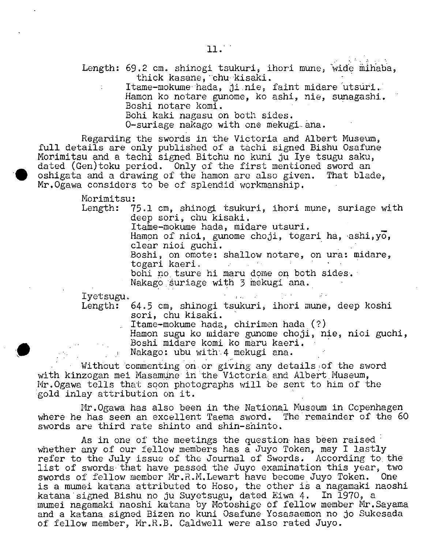- Length: 69.2 cm. shinogi tsukuri, ihori mune, wide mihaba, thick kasane, chu kisaki.
	- Itame-mokume hada, ji nie, faint midare utsuri. Hamon ko notare gunome, ko ashi, nie, sunagashi. Boshi notare komi.

Bohi kaki nagasu on both sides.

O-suriage nakago with one mekugi ana.

Regarding the swords in the Victoria and Albert Museum, full details are only published of a tachi signed Bishu Osafune Morimitsu and a tachi signed Bitchu no kuni ju lye tsugu saku, dated (Gen)toku period. Only of the first mentioned sword an • oshigata and a drawing of the hamon are also given. That blade, Mr.Ogawa considers to be of splendid workmanship.

Morimitsu:

Length: 75.1 cm, shinogi tsukuri, ihori mune, suriage with deep sori, chu kisaki.

Itame-mokume hada, midare utsuri.

Hamon of nioi, gunome choji, togari ha, ashi,yo, clear nioi guchi.

Boshi, on omote: shallow notare, on ura: midare, togari kaeri.

 $\mathcal{O}(\mathcal{O}_{\mathbb{P}^1})$  , and  $\mathcal{O}(\mathcal{O}_{\mathbb{P}^1})$  , and  $\mathcal{O}(\mathcal{O}_{\mathbb{P}^1})$ 

bohi no tsure hi maru dome on both sides.

Nakago suriage with 3 mekugi ana.

Iyetsugu.

Length: 64.5 cm, shinogi tsukuri, ihori mune, deep koshi son, chu kisaki.

Itame-mokume hada, chirimen hada (?)

Hamon sugu ko midare gunome choji, nie, nioi guchi, Boshi midare komi ko màru kaeri.

Nakago: ubu with.4 mekugi ana.

Without commenting on or giving any details of the sword with kinzogan mei Masamune in the Victoria and Albert Museum, Mr.Ogawa tells that soon photographs will be sent to him of the gold inlay attribution on it.

Mr.Ogawa has also been in the National Museum in Copenhagen where he has seen an excellent Taema sword, The remainder of the 60 swords are third rate shinto and shin-shinto.

As in one of the meetings the question has been raised whether any of our fellow members has a Juyo Token, may I lastly refer to the July issue of the Journal of Swords. According to the list of swords that have passed the Juyo examination this year, two swords of fellow member Mr.R.M.Lewart have become Juyo Token. One is a mumei katana attributed to Hoso, the other is a nagamaki naoshi katana signed Bishu no ju Suyetsugu, dated Eiwa 4. In 1970, a mumei nagamaki naoshi katana by Motoshige of fellow member Mr.Sayama and a katana signed Bizen no kuni Osafune Yosasaemon no jo Sukesada of fellow member, Mr.R.B. Caldwell were also rated Juyo.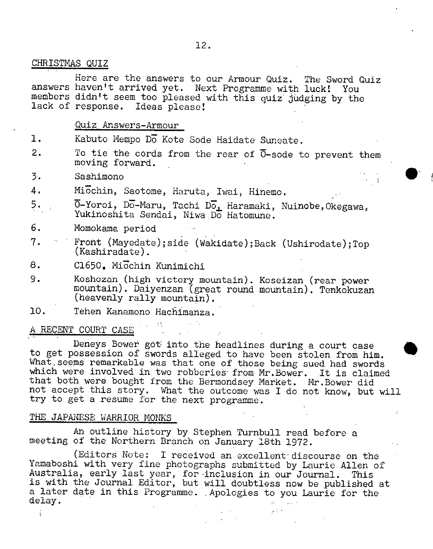# CHRISTMAS QUIZ

Here are the answers to our Armour Quiz. The Sword Quiz answers haven't arrived yet. Next Programme with luck! You members didn't seem too pleased with this quiz judging by the lack of response. Ideas please!

### Quiz Answers-Armour

- 1. Kabuto Mempo Do Kote Sode Haidate Suneate.
- 2. To tie the cords from the rear of  $\overline{0}$ -sode to prevent them moving forward.
- 3. Sashimono
- 4. Michin, Saotome, Haruta, Iwai, Hinemo.
- 5. **7**-Yoroi, Do-Maru, Tachi Do, Haramaki, Nuinobe, Okegawa, Yukinoshita Sendai, Niwa Do Hatomune.
- 6. Momokama period
- 7. Front (Mayedate);side (Wakidate);Back (Ushirodate);Top (Kashiradate).
- 8. C1650. Micchin Kunimichi
- 9. Koshozan (high victory mountain). Koseizan (rear power mountain). Daiyenzan (great round mountain). Tenkokuzan (heavenly rally mountain).
- 10. Tehen Kanamono Hachimanza,

### A RECENT COURT CASE

Deneys Bower got: into the headlines during a court case to get possession of swords alleged to have been stolen from him. What seems remarkable was that one of those being sued had swords which were involved in two robberies from Mr. Bower. It is claimed that both were bought from the Bermondsey Market, Mr.Bower did not accept this story. What the outcome was I do not know, but will try to get a resume for the next programme.

### THE. JAPANESE WARRIOR MONKS

An outline history by Stephen Turnbull read before a meeting of the Northern Branch on January 18th 1972.

(Editors Note: I received an excellent discourse on the Yamaboshi with very fine photographs submitted by Laurie Allen of Australia, early last year, for inclusion in our Journal. This is with the Journal Editor, but will doubtless now be published at a later date in this Programme. Apologies to you Laurie for the delay.

 $\frac{1}{2}$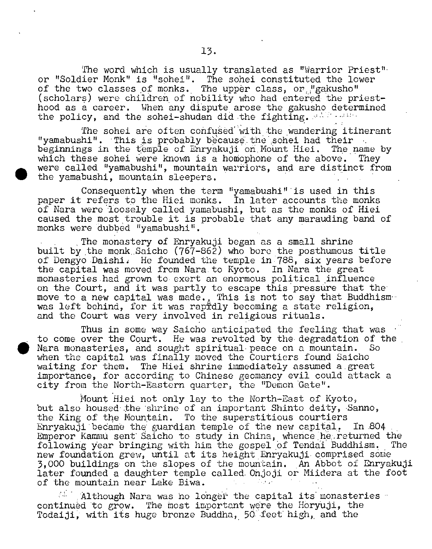The word which is usually translated as "Warrior Priest' or "Soldier Monk" is "sohei". The sohei constituted the lower of the two classes of monks. The upper class, or "gakusho" (scholars) were children of nobility who had entered the priesthood as a career. When any dispute arose the gakusho determined the policy, and the sohei-shudan did the fighting.  $\mathbb{R}^{N}$  and the soheirshunder of the solution

The sohei are often confused with the wandering itinerant "yamabushi". This is probably because the sohei had their<br>beginnings in the temple of Enryakuji on Mount Hiei. The name by beginnings in the temple of Enryakuji on Mount Hiei. which these sohei were known is a homophone of the above. They were called "yamabushi", mountain warriors, and are distinct from the yamabushi, mountain sleepers.

**.**

Consequently when the term "yamabushi" is used in this paper it refers to the Hiei monks. In later accounts the monks of Nara were loosely called yamabushi, but as the monks of Hiei caused the most trouble it is probable that any marauding band of monks were dubbed 'yamabushi".

The monastery of Enryakuji began as a small shrine built by the monk Saicho  $(767-862)$  who bore the posthumous title of Dengyo Daishi. He founded the temple in 788, six years before the capital was moved from Nara to Kyoto. In Nara the great monasteries had grown to exert an enormous political influence on the Court, and it was partly to escape this pressure that the move to a new capital was made., This is not to say that Buddhism was left behind, for it was rapfidly becoming a state religion. and the Court was very involved in religious rituals.

Thus in some way Saicho anticipated the feeling that was to come over the Court. He was revolted by the degradation of the Nara monasteries, and sought spiritual peace on a mountain. So when the capital was finally moved the Courtiers found Saicho waiting for them. The Hiei shrine immediately assumed a.great importance, for according to Chinese geomancy evil could attack a city from the North-Eastern quarter, the "Demon Gate".

Mount Hiei not only lay to the North-East of Kyoto, but also housed the shrine of an important Shinto deity, Sanno, the King of the Mountain. To the superstitious courtiers Enryakuji became the guardian temple of the new capital. In 804 Emperor Kammu sent Saicho to study in China, whence he returned the following Year bringing with him the gospel of Tendai Buddhism. The new foundation grew, until at its height Enryakuji comprised some 3,000 buildings on the slopes of the mountain. An Abbot of Enryakuji later founded a daughter temple called. Ohjoji or Miidera at the foot of the mountain near Lake Biwa.

Although Nara was no longer the capital its monasteries continued to grow. The most important were the Horyuji, the Todaiji, with its huge bronze Buddha, 50 feet high, and the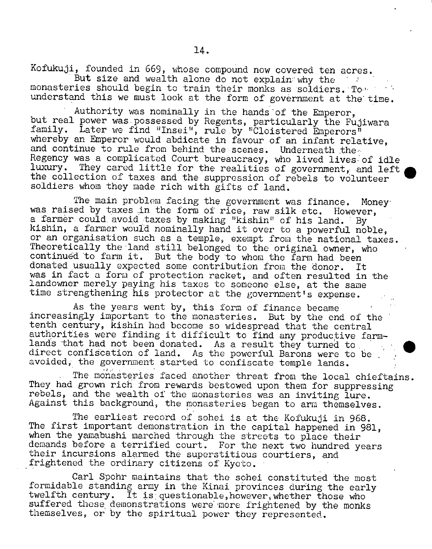Kofukuji, founded in 669, whose compound now covered ten acres. But size and wealth alone do not explain why the  $\sim 10^{11}$ 

monasteries should begin to train their monks as soldiers. To understand this we must look at the form of government at the time.

Authority was nominally in the hands'of the Emperor, but real power was possessed by Regents, particularly the Fujiwara family. Later we find "Insei", rule by "Cloistered Emperors" whereby an Emperor would abdicate in favour of an infant relative. and continue to rule from behind the scenes. Underneath the Regency was a complicated Court bureaucracy, who lived lives of idle luxury. They cared little for the realities of government, and left the collection of taxes and the suppression of rebels to volunteer soldiers whom they made rich with gifts of land.

The main problem facing the government was finance. Money was raised by taxes in the form of rice, raw silk etc. However, a farmer could avoid taxes by making "kishin" of his land. By kishin, a farmer would nominally hand it over to a powerful noble, or an organisation such as a temple, exempt from the national taxes. Theoretically the 'land still belonged to the original owner, who continued to farm it. But the body to whom the farm had been donated usually expected some contribution from the donor. It was in fact a form of protection racket, and often resulted in the landowner merely paying his taxes to someone else, at the same time strengthening his protector at the government's expense.

As the years went by, this form of finance became increasingly important to the monasteries. But by the end of the tenth century, kishin had become so widespread that the central authorities were finding it difficult to find any productive farmlands that had not been donated. As a result they turned to direct confiscation of land. As the powerful Barons were to be avoided, the government started to confiscate temple lands.

The monasteries faced another threat from the local chieftains. They had grown rich from rewards bestowed upon them for suppressing rebels, and the wealth of the monasteries was an inviting lure. Against this background, the monasteries began to arm themselves.

The earliest record of sohei is at the.Kofukuji in 968. The first important demonstration in the capital happened in 981, when the yamabushi marched through the streets to place their demands before a terrified court. For the next two hundred years their incursions alarmed the superstitious courtiers, and frightened the ordinary citizens of Kyoto.

Carl Spohr maintains that the sohei constituted the most formidable standing army in the Kinai provinces during the early twelfth century. It is questionable, however, whether those who suffered those demonstrations were 'more frightened by the monks themselves, or by the spiritual power they represented.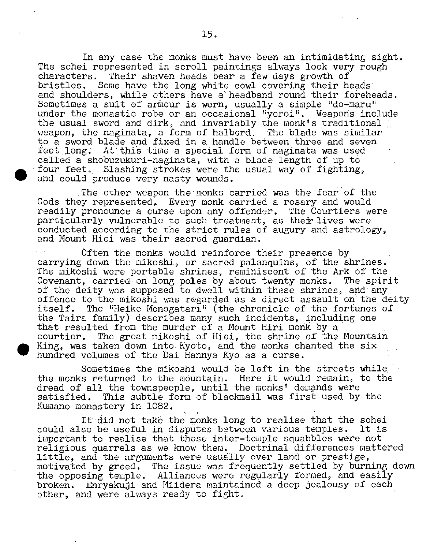In any case the monks must have been an intimidating sight. The sohei represented in scroll paintings always look very rough characters. Their shaven heads bear a few days growth of Their shaven heads bear a few days growth of bristles. Some have.the long white cowl covering their heads and shoulders, while others have a headband round their foreheads. Sometimes a suit of armour is worn, usually a simple "do-maru" under the monastic robe or an occasional "yoroi". Weapons include the usual sword and dirk, and invariably the monk's traditional weapon, the naginata, a form of halberd. The blade was similar to a sword blade and fixed in a handle between three and seven feet long; At this time a special form of naginata was used called a shobuzukuri-naginata, with a blade length of up to four feet. Slashing strokes were the usual way of fighting, and could produce very nasty wounds.

The other weapon the monks carried was the fear of the Gods they represented, Every monk carried a rosary and would readily pronounce a curse upon any offender. The Courtiers were particularly vulnerable to such treatment, as their lives were conducted according to the strict rules of augury and astrology, and Mount Hiei was their sacred guardian.

.

.

Often the monks would reinforce their presence by carrying down the mikoshi, or sacred palanquins, of the shrines. The mikoshi were portable shrines, reminiscent of the Ark of the Covenant, carried on long poles by about twenty monks. The spirit of the deity was supposed to dwell within these shrines, and any offence to the mikoshi was regarded as a direct assault on the deity<br>itself. The "Heike Monogatari" (the chronicle of the fortunes of The "Heike Monogatari" (the chronicle of the fortunes of the Taira family) describes many such incidents, including one that resulted from the murder of a Mount Hiri monk by a courtier. The great mikoshi of Hiei, the shrine of the Mountain King, was taken down into. Kyoto, and the monks chanted the six hundred volumes of the Dai Hannya Kyo as a curse.

Sometimes the mikoshi would be left in the streets while. the monks returned to the mountain. Here it would remain, to the dread of all the townspeople, until the monks' demands were satisfied. This subtle form of blackmail was first used by the Kumano monastery in 1082.

It did not take the monks long to realise that the sohei<br>so be useful in disputes between various temples. It is could also be useful in disputes between various temples. important to realise that these inter-temple squabbles were not religious quarrels as- we know them. Doctrinal differences mattered little, and the arguments were usually over land or prestige, motivated by greed. The issue was frequently settled by burning down the opposing temple. Alliances were regularly formed, and easily broken. Enryakuji and Miidera maintained a deep jealousy of each other, and were always ready to fight,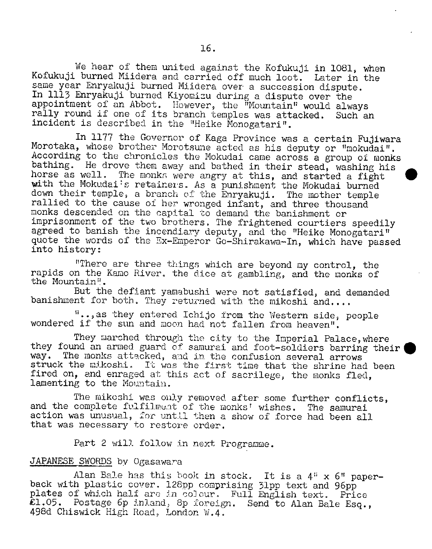We hear of them united against the Kofukuji in 1081, when Kofukuji burned Miidera and carried off much loot. Later in the same year Enryakuji burned Miidera over a succession dispute. In 1113 Enryakuji burned Kiyomizu during a dispute over the appointment of an Abbot. However, the Mountain" would always rally round if one of its branch temples was attacked. Such an incident is described in the "Heike Monogatari".

In 1177 the Governor of Kaga Province was a certain Fujiwara Morotaka, whose brother Morotsune acted as his deputy or "mokudai". According to the chronicles the Mokudai came across a group of monks bathing. He drove them away and bathed in their stead, washing his horse as well. The monks were angry at this, and started a fight with the Mokudai's retainers. As a punishment the Mokudai burned down their temple, a branch of the Enryakuji. The mother temple rallied to the cause of her wronged infant, and three thousand monks descended on the capital to demand the banishment or imprisonment of the two brothers. The frightened courtiers speedily agreed to banish the incendiary deputy, and the "Heike Monogatari" quote the words of the Ex-Emperor Go-Shirakawa-In, which have passed into history:

"There are three things which are beyond my control, the rapids on the Kamo River, the dice at gambling, and the monks of the Mountain".

But the defiant yamabushi were not satisfied, and demanded banishment for both. They returned with the mikoshi and....

"..,as they entered Ichijo from the Western side, people wondered if the sun and moon had not fallen from heaven".

They marched through the city to the Imperial Palace, where they found an armed guard of samurai and foot-soldiers barring their (way. The monks attacked, and in the confusion several arrows The monks attacked, and in the confusion several arrows struck the mikoshi. It was the first time that the shrine had been fired on, and enraged at this act of sacrilege, the monks fled, lamenting to the Mountain.

The mikoshi was only removed after some further conflicts, and the complete fulfilment of the monks' wishes. The samurai action was unusual, for until then a show of force had been all that was necessary to restore order.

Part 2 will follow in next Programme,

### JAPANESE SWORDS by Ogasawara

Alan Bale has this book in stock. It is a  $4$ "  $\times$  6" paperback with plastic cover. 128pp comprising 31pp text and 96pp plates of which half are in colour. Full English text. Price £1.05. Postage 6p ini.and, 8p foreign. Send to Alan Bale Esq., 498d Chiswick High Road, London W.4,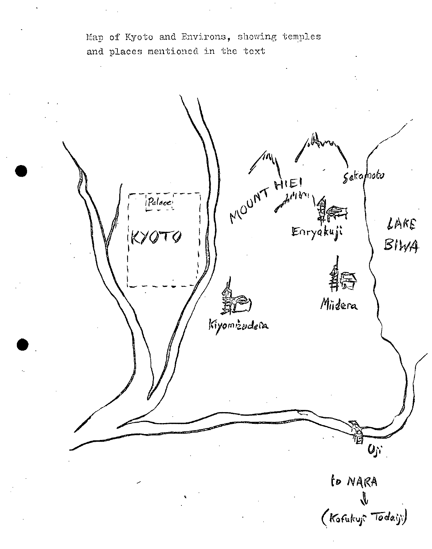Man of Kyoto and Environs, showing temples and places mentioned in the text

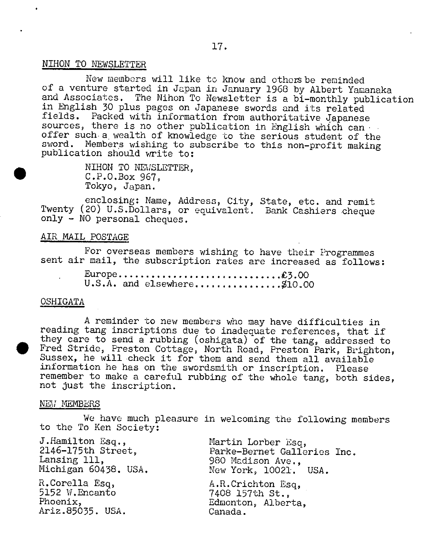# NIHON TO NEWSLETTER

New members will like to know and others be reminded of a venture started in Japan in January 1968 by Albert Yamanaka and Associates. The Nihon To Newsletter is a bi-monthly publication in English 30 plus pages on Japanese swords and its related fields. Packed with information from authoritative 4apanese sources, there is no other publication in English which can offer such a wealth of knowledge to the serious student of the sword. Members wishing to subscribe to this non-profit making publication should write to:

> . NIHON TO NEWSLETTER, C.P.O.Box 967, Tokyo, Japan.

enclosing: Name, Address, City, State, etc. and remit Twenty (20) U.S.Dollars, or equivalent. Bank Cashiers cheque only - NO personal cheques.

### AIR MAIL POSTAGE

For overseas members wishing to have their Programmes sent air mail, the subscription rates are increased as follows:

> Europe................................£3.00 U.S.A. and elsewhere..................\$10.00

### OSHIGATA

A reminder to new members who may have difficulties in reading tang inscriptions due to inadequate references, that if they care to send a rubbing (oshigata) of the tang, addressed to • Fred Stride, Preston Cottage, North Road, Preston Park, Brighton, Sussex, he will check it for them and send them all available information he has on the swordsmith or inscription. Please remember to make a careful rubbing of the whole tang, both sides, not just the inscription.

#### NEW MEMBERS

We have much pleasure in welcoming the following members to the To Ken Society:

| J.Hamilton Esq.,     | Martin Lorber Esq,          |
|----------------------|-----------------------------|
| 2146-175th Street,   | Parke-Bernet Galleries Inc. |
| Lansing 111,         | 980 Madison Ave.,           |
| Michigan 60438. USA. | New York, 10021. USA.       |
| R.Corella Esq,       | A.R.Crichton Esq.           |
| 5152 W.Encanto       | 7408 157th St.,             |
| Phoenix,             | Edmonton, Alberta,          |
| Ariz.85035. USA.     | Canada.                     |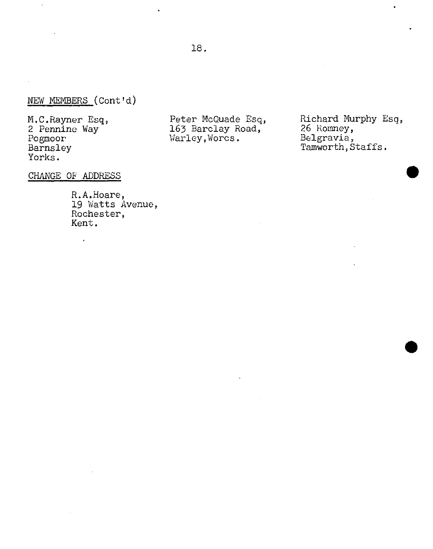# NEW MEMBERS (Cont'd)

M.C.Rayner Esq, 2 Pennine Way Pogmoor Earnsley Yorks,

 $\ddot{\phantom{a}}$ 

Peter McQuade Esq, 163 Barclay Road, Warley,Worcs.

Richard Murphy Esq, 26 Romney, Belgravia, Tamworth, Staffs.

CHANGE OF ADDRESS

 $\cdot$ 

R.A.Hoare, 19 Watts Avenue, Rochester, Kent.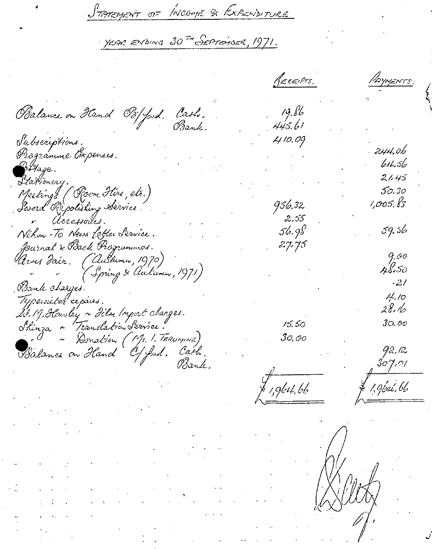<u>STATEMENT OF INCOME & EXPENDITURE</u>

YEAR ENDING 30<sup>TH</sup> SEPTEMBER, 1971.

RECEIPTS. 'Аүмемт  $19.86$ Balance on Hand Bofferd. Cash,<br>Bank, 445.61 Sabscriptions. 410.09 • . 244.0b Programme Coxpenses.  $611.56$ BHage.  $21.45$ Ptarionery. • Larionery.<br>• Meetings (Room Hire, etc.)<br>• Perzyl (Pe colitius Sécrice  $50,30$ 956,32 1,005.83  $2,55$ r Accessoiles. 56.98 i31.34 Nihon-To News Letter Service. Journal & Back Programmes. 27.75 9.00 *Arns Fair. (Aultumn, 1970)* 4t5O *27)* (Spring & Auturen, 1971)  $-2/$ Brenk charges. **I/Jo /y/eu.M** a,pcakd. 28. He 20. M. Hawby ~ Hilm Inport charges. **iz Lb Jo, 00** Shinza ~ Translation Service. 30,00 ~ Donation (Mr. 1, TERUMINE) Balance on Hand Of Just. Cath. J2, i2 **3o7..o/** ,<br>1,9bH,bb 1,96ú,66